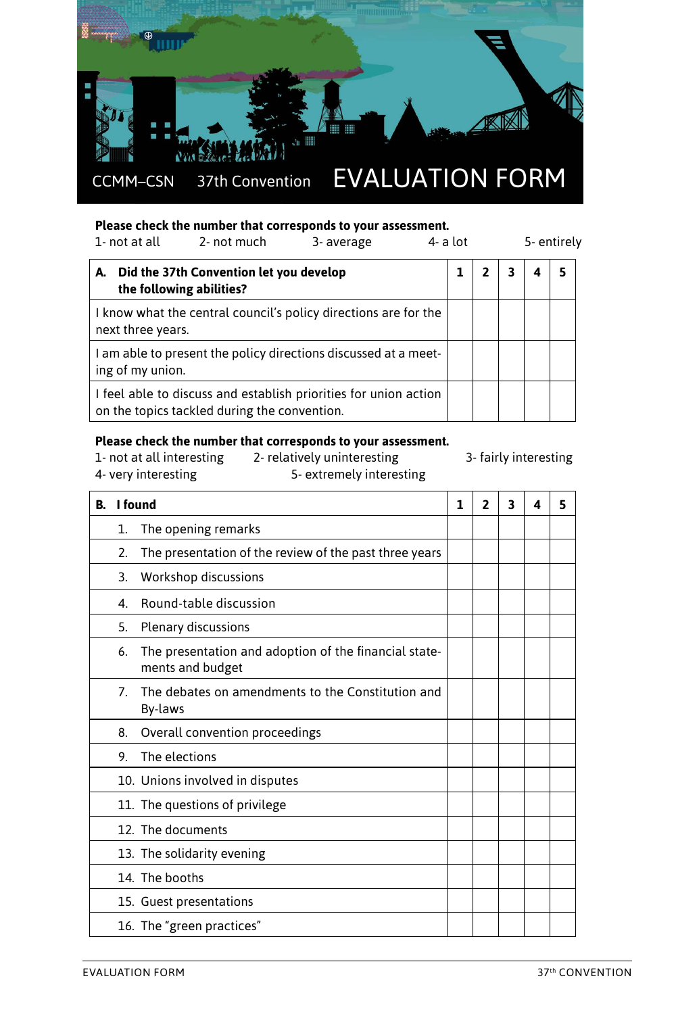

## **Please check the number that corresponds to your assessment.**

| 1- not at all<br>2- not much<br>3- average                                                                       |                                                                     | $4-$ a lot | 5- entirely |   |  |   |
|------------------------------------------------------------------------------------------------------------------|---------------------------------------------------------------------|------------|-------------|---|--|---|
| А.                                                                                                               | Did the 37th Convention let you develop<br>the following abilities? |            |             | 3 |  | 5 |
| I know what the central council's policy directions are for the<br>next three years.                             |                                                                     |            |             |   |  |   |
| I am able to present the policy directions discussed at a meet-<br>ing of my union.                              |                                                                     |            |             |   |  |   |
| I feel able to discuss and establish priorities for union action<br>on the topics tackled during the convention. |                                                                     |            |             |   |  |   |

#### **Please check the number that corresponds to your assessment.**

1- not at all interesting 2- relatively uninteresting 3- fairly interesting<br>4- very interesting 5- extremely interesting

- 
- 5- extremely interesting

| I found<br>В. |                | 1                                                                         | $\overline{2}$ | 3 | 4 | 5 |  |
|---------------|----------------|---------------------------------------------------------------------------|----------------|---|---|---|--|
|               | 1.             | The opening remarks                                                       |                |   |   |   |  |
|               | 2.             | The presentation of the review of the past three years                    |                |   |   |   |  |
|               | 3.             | Workshop discussions                                                      |                |   |   |   |  |
|               | 4.             | Round-table discussion                                                    |                |   |   |   |  |
|               | 5.             | Plenary discussions                                                       |                |   |   |   |  |
|               | 6.             | The presentation and adoption of the financial state-<br>ments and budget |                |   |   |   |  |
|               | 7 <sub>1</sub> | The debates on amendments to the Constitution and<br>By-laws              |                |   |   |   |  |
|               | 8.             | Overall convention proceedings                                            |                |   |   |   |  |
|               | 9.             | The elections                                                             |                |   |   |   |  |
|               |                | 10. Unions involved in disputes                                           |                |   |   |   |  |
|               |                | 11. The questions of privilege                                            |                |   |   |   |  |
|               |                | 12. The documents                                                         |                |   |   |   |  |
|               |                | 13. The solidarity evening                                                |                |   |   |   |  |
|               |                | 14. The booths                                                            |                |   |   |   |  |
|               |                | 15. Guest presentations                                                   |                |   |   |   |  |
|               |                | 16. The "green practices"                                                 |                |   |   |   |  |